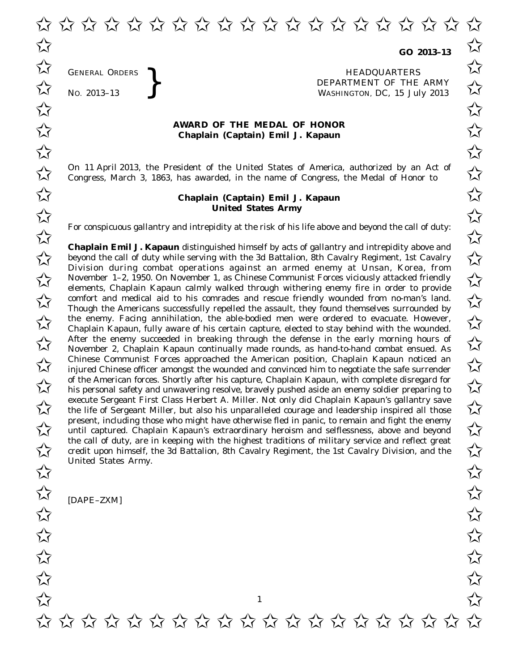**GO 2013–13**

GENERAL ORDERS **REAL ORDERS** HEADQUARTERS **HEADQUARTERS HEADQUARTERS DEPARTMENT** OF THE WASHINGTON, DC, 15 Jul  $\overrightarrow{AC}$  No. 2013-13 WASHINGTON, DC, *15 July 2013*  $\overrightarrow{\mathcal{A}}$  GENERAL ORDERS  $\overrightarrow{\mathcal{A}}$ 

## **AWARD OF THE MEDAL OF HONOR**<br>
Chaplain (Captain) Emil J. Kapaun **Chaplain (Captain) Emil J. Kapaun**

On 11 April 2013, the President of the United States of America, authorized by an Act of  $\overline{\mathcal{M}}$  Congress. March 3, 1863, has awarded, in the name of Congress, the Medal of Honor to  $\overline{\mathcal{M}}$ Congress, March 3, 1863, has awarded, in the name of Congress, the Medal of Honor to

## **Chaplain (Captain) Emil J. Kapaun** ✩ ✩ **United States Army** United States Army

For conspicuous gallantry and intrepidity at the risk of his life above and beyond the call of duty:<br>  $\overrightarrow{\lambda}$ 

**Chaplain Emil J. Kapaun** distinguished himself by acts of gallantry and intrepidity above and **Chaplain Emil J. Kapaun** distinguished himself by acts of gallantry and intrepidity above and<br>beyond the call of duty while serving with the 3d Battalion, 8th Cavalry Regiment, 1st Cavalry Division during combat operations against an armed enemy at Unsan, Korea, from DIVISION during compations against an armed enemy at Onsan, Korea, Irom<br>November 1–2, 1950. On November 1, as Chinese Communist Forces viciously attacked friendly elements, Chaplain Kapaun calmly walked through withering enemy fire in order to provide comfort and medical aid to his comrades and rescue friendly wounded from no-man's land.<br>
Though the Americans successfully repelled the assault they found themselves surrounded by Though the Americans successfully repelled the assault, they found themselves surrounded by the enemy. Facing annihilation, the able-bodied men were ordered to evacuate. However,  $\sim$ Chaplain Kapaun, fully aware of his certain capture, elected to stay behind with the wounded.  $\overline{\mathcal{A}}$  After the enemy succeeded in breaking through the defense in the early morning hours of  $\overline{\mathcal{A}}$ <br>November 2. Chanlain Kanaun continually made rounds as hand-to-hand combat ensued As November 2, Chaplain Kapaun continually made rounds, as hand-to-hand combat ensued. As Chinese Communist Forces approached the American position, Chaplain Kapaun noticed an  $\overline{\mathcal{M}}$  iniured Chinese officer amongst the wounded and convinced him to negotiate the safe surrender injured Chinese officer amongst the wounded and convinced him to negotiate the safe surrender of the American forces. Shortly after his capture, Chaplain Kapaun, with complete disregard for of the American forces. Shortly after his capture, Chaplain Kapaun, with complete disregard for<br>  $\overrightarrow{\lambda}$  his personal safety and unwavering resolve, bravely pushed aside an enemy soldier preparing to execute Sergeant First Class Herbert A. Miller. Not only did Chaplain Kapaun's gallantry save execute Sergeant First Class Herbert A. Miller. Not only did Chaplain Kapaun's gallantry save<br>the life of Sergeant Miller, but also his unparalleled courage and leadership inspired all those present, including those who might have otherwise fled in panic, to remain and fight the enemy present, including those who might have otherwise fled in panic, to remain and fight the enemy<br>until captured. Chaplain Kapaun's extraordinary heroism and selflessness, above and beyond the call of duty, are in keeping with the highest traditions of military service and reflect great the call of duty, are in keeping with the highest traditions of military service and reflect great<br>credit upon himself, the 3d Battalion, 8th Cavalry Regiment, the 1st Cavalry Division, and the United States Army. United States Army.<br> $\overrightarrow{\lambda}$ 

[DAPE–ZXM]

GENERAL ORDERS